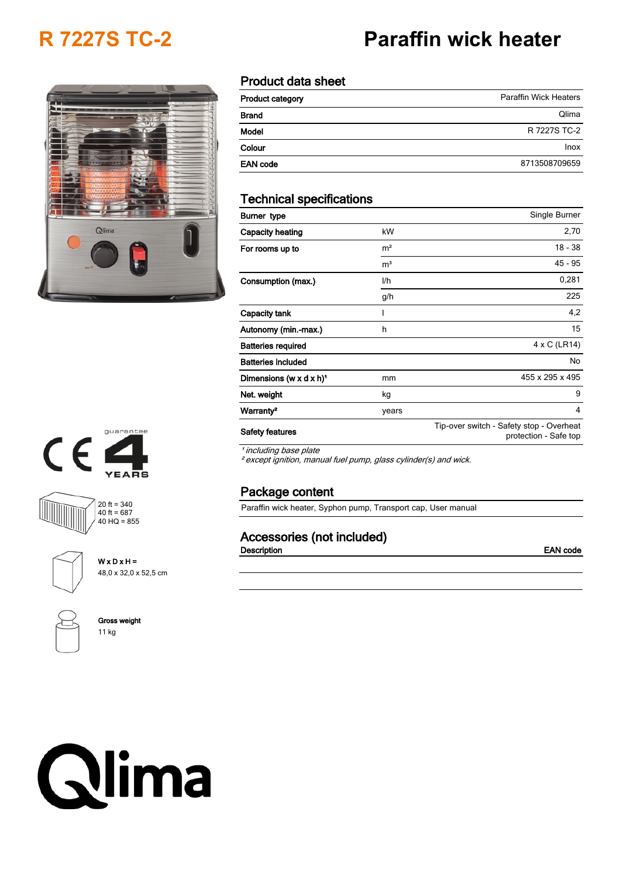# **R 7227S TC-2 Paraffin wick heater**

# Qlima



| <b>Product category</b> | <b>Paraffin Wick Heaters</b> |
|-------------------------|------------------------------|
| <b>Brand</b>            | Qlima                        |
| Model                   | R 7227S TC-2                 |
| Colour                  | Inox                         |
| <b>EAN code</b>         | 8713508709659                |

# **Technical specifications**

| Burner type                         |                | Single Burner                                                     |
|-------------------------------------|----------------|-------------------------------------------------------------------|
| Capacity heating                    | kW             | 2,70                                                              |
| For rooms up to                     | m <sup>2</sup> | $18 - 38$                                                         |
|                                     | m <sup>3</sup> | 45 - 95                                                           |
| Consumption (max.)                  | l/h            | 0,281                                                             |
|                                     | g/h            | 225                                                               |
| Capacity tank                       |                | 4,2                                                               |
| Autonomy (min.-max.)                | h              | 15                                                                |
| <b>Batteries required</b>           |                | 4 x C (LR14)                                                      |
| <b>Batteries included</b>           |                | No                                                                |
| Dimensions (w x d x h) <sup>1</sup> | mm             | 455 x 295 x 495                                                   |
| Net. weight                         | kg             | 9                                                                 |
| Warranty <sup>2</sup>               | years          | 4                                                                 |
| <b>Safety features</b>              |                | Tip-over switch - Safety stop - Overheat<br>protection - Safe top |

*¹ including base plate*

*² except ignition, manual fuel pump, glass cylinder(s) and wick.*

# **Package content**

Paraffin wick heater, Syphon pump, Transport cap, User manual

# **Accessories (not included)**

**Description EAN code**









**Gross weight**

**W x D x H =** 48,0 x 32,0 x 52,5 cm

11 kg